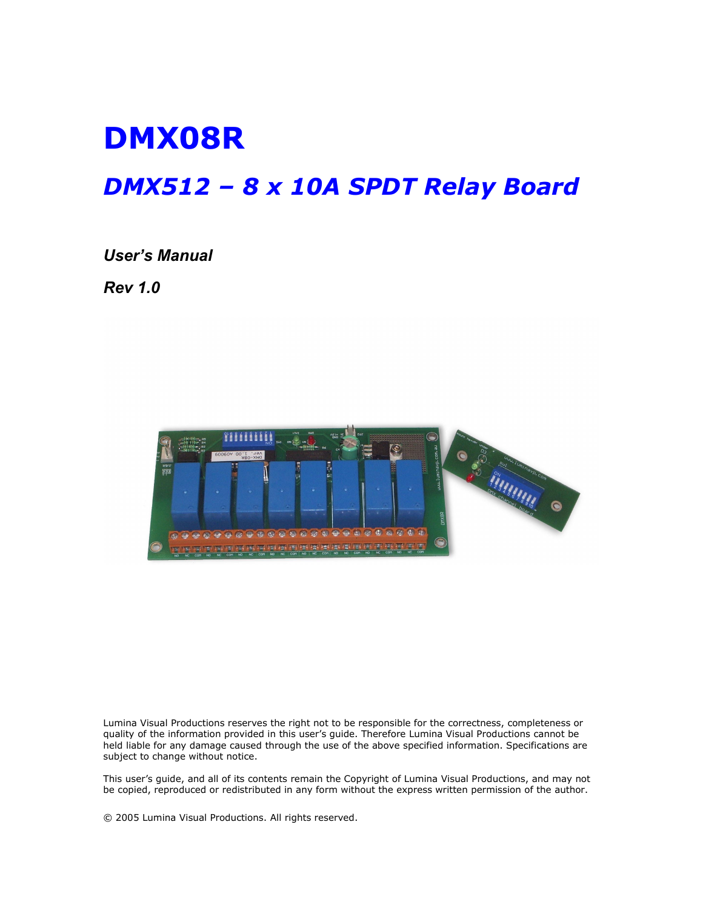# DMX08R

## DMX512 – 8 x 10A SPDT Relay Board

#### User's Manual

Rev 1.0



Lumina Visual Productions reserves the right not to be responsible for the correctness, completeness or quality of the information provided in this user's guide. Therefore Lumina Visual Productions cannot be held liable for any damage caused through the use of the above specified information. Specifications are subject to change without notice.

This user's guide, and all of its contents remain the Copyright of Lumina Visual Productions, and may not be copied, reproduced or redistributed in any form without the express written permission of the author.

© 2005 Lumina Visual Productions. All rights reserved.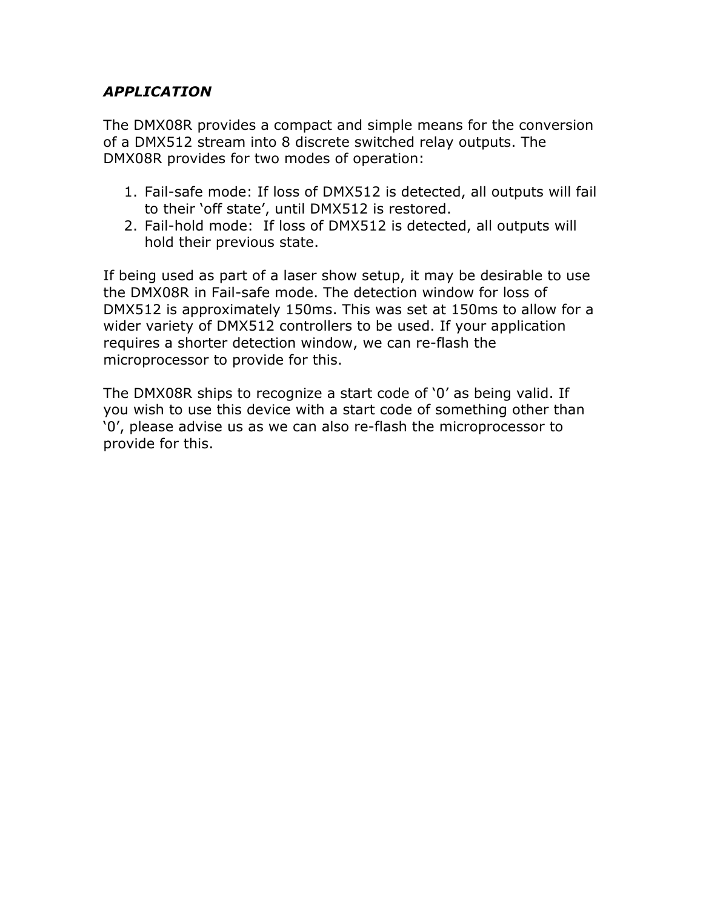#### APPLICATION

The DMX08R provides a compact and simple means for the conversion of a DMX512 stream into 8 discrete switched relay outputs. The DMX08R provides for two modes of operation:

- 1. Fail-safe mode: If loss of DMX512 is detected, all outputs will fail to their 'off state', until DMX512 is restored.
- 2. Fail-hold mode: If loss of DMX512 is detected, all outputs will hold their previous state.

If being used as part of a laser show setup, it may be desirable to use the DMX08R in Fail-safe mode. The detection window for loss of DMX512 is approximately 150ms. This was set at 150ms to allow for a wider variety of DMX512 controllers to be used. If your application requires a shorter detection window, we can re-flash the microprocessor to provide for this.

The DMX08R ships to recognize a start code of '0' as being valid. If you wish to use this device with a start code of something other than '0', please advise us as we can also re-flash the microprocessor to provide for this.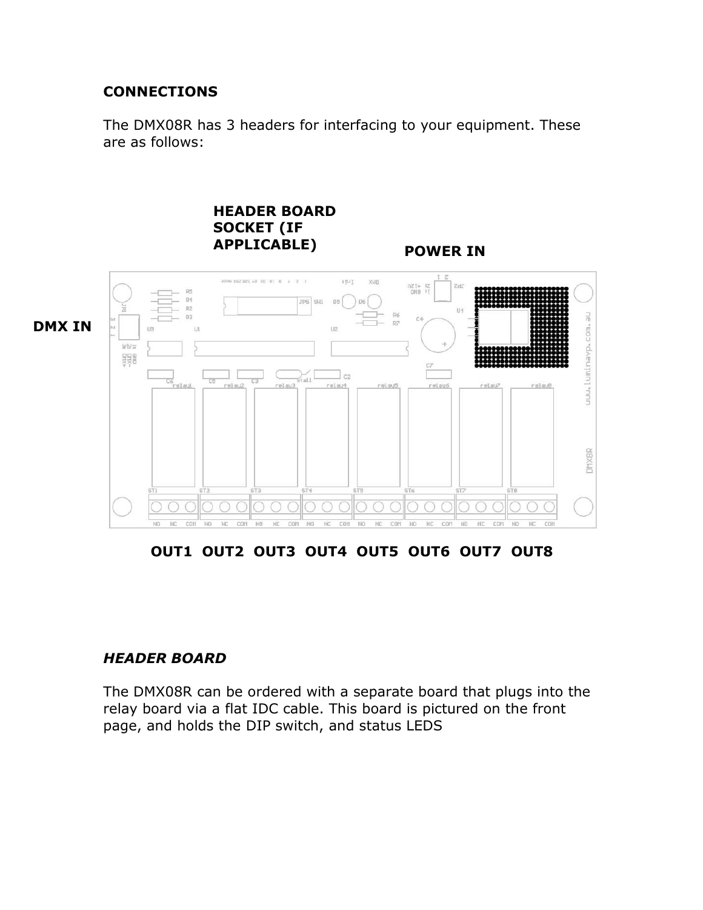#### **CONNECTIONS**

The DMX08R has 3 headers for interfacing to your equipment. These are as follows:



OUT1 OUT2 OUT3 OUT4 OUT5 OUT6 OUT7 OUT8

#### HEADER BOARD

The DMX08R can be ordered with a separate board that plugs into the relay board via a flat IDC cable. This board is pictured on the front page, and holds the DIP switch, and status LEDS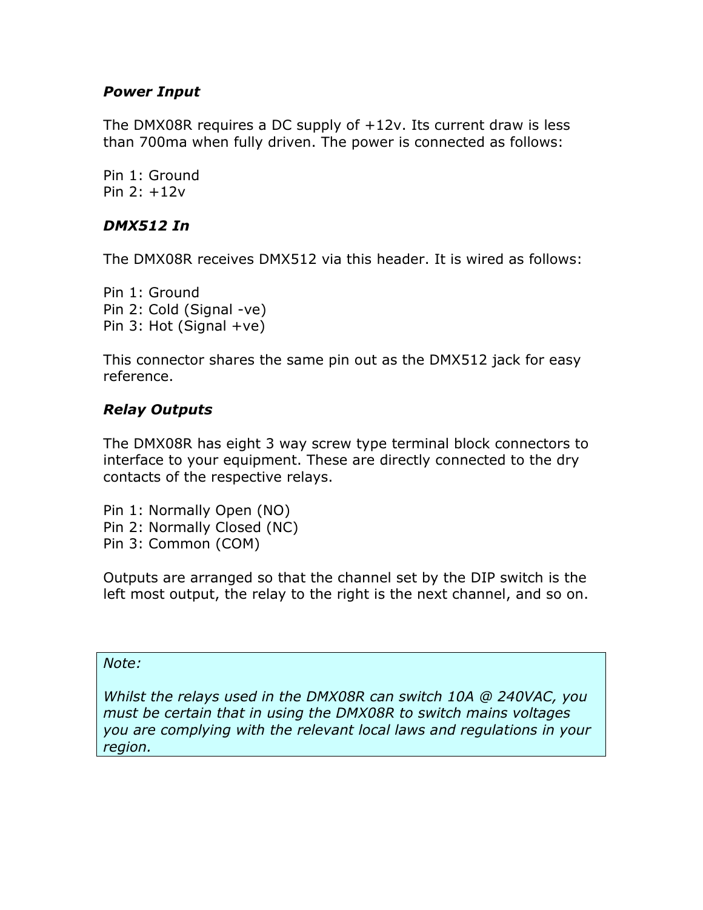#### Power Input

The DMX08R requires a DC supply of +12v. Its current draw is less than 700ma when fully driven. The power is connected as follows:

Pin 1: Ground Pin 2: +12v

#### DMX512 In

The DMX08R receives DMX512 via this header. It is wired as follows:

Pin 1: Ground Pin 2: Cold (Signal -ve) Pin 3: Hot (Signal  $+ve$ )

This connector shares the same pin out as the DMX512 jack for easy reference.

#### Relay Outputs

The DMX08R has eight 3 way screw type terminal block connectors to interface to your equipment. These are directly connected to the dry contacts of the respective relays.

Pin 1: Normally Open (NO) Pin 2: Normally Closed (NC) Pin 3: Common (COM)

Outputs are arranged so that the channel set by the DIP switch is the left most output, the relay to the right is the next channel, and so on.

#### Note:

Whilst the relays used in the DMX08R can switch 10A @ 240VAC, you must be certain that in using the DMX08R to switch mains voltages you are complying with the relevant local laws and regulations in your region.